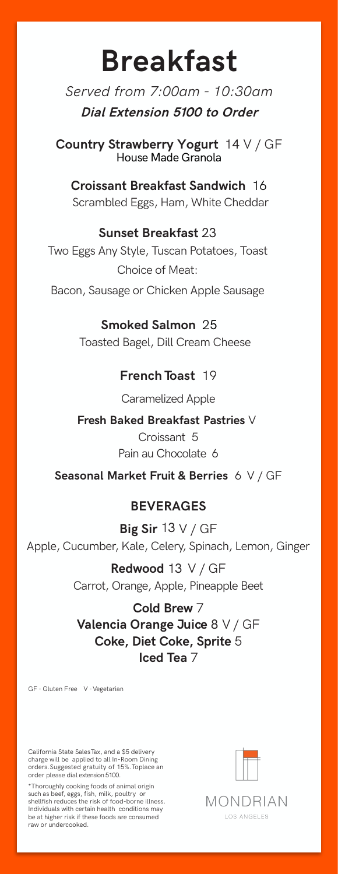# **Breakfast**

*Served from 7:00am - 10:30am*  **Dial Extension 5100 to Order**

**Country Strawberry Yogurt** 14 V / GF House Made Granola

**Croissant Breakfast Sandwich** 16 Scrambled Eggs, Ham, White Cheddar

### **Sunset Breakfast**

Two Eggs Any Style, Tuscan Potatoes, Toast Choice of Meat:

Bacon, Sausage or Chicken Apple Sausage

### **Smoked Salmon**

Toasted Bagel, Dill Cream Cheese

## **French Toast 19**

Caramelized Apple

### Fresh Baked Breakfast Pastries V

Croissant 5 Pain au Chocolate 6

### Seasonal Market Fruit & Berries 6 V / GF

### **BEVERAGES**

Big Sir  $13 V/GF$ Apple, Cucumber, Kale, Celery, Spinach, Lemon, Ginger

> Redwood 13 V / GF Carrot, Orange, Apple, Pineapple Beet

### Cold Brew 7

Valencia Orange Juice 8 V / GF Coke, Diet Coke, Sprite 5 Iced Tea 7

GF - Gluten Free V - Vegetarian

California State SalesTax, and a \$5 delivery charge will be applied to all In-Room Dining orders. Suggested gratuity of 15%.Toplace an order please dial extension 5100.

\*Thoroughly cooking foods of animal origin such as beef, eggs, fish, milk, poultry or shellfish reduces the risk of food-borne illness. Individuals with certain health conditions may be at higher risk if these foods are consumed raw or undercooked.